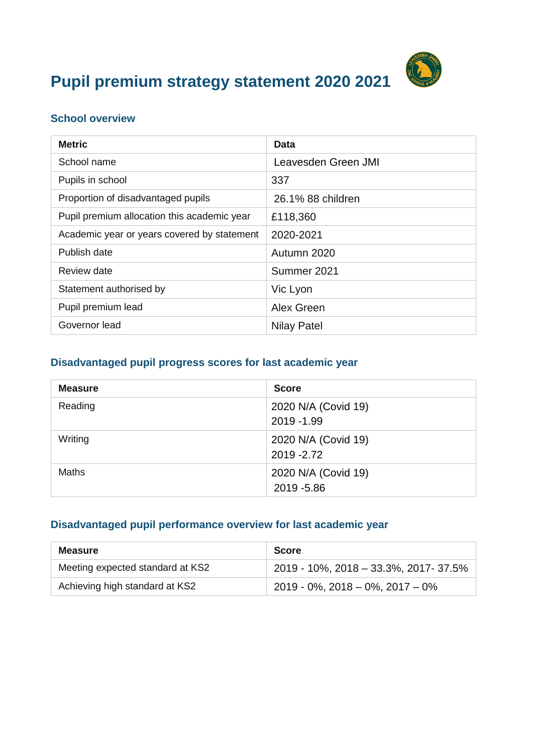

# **Pupil premium strategy statement 2020 2021**

#### **School overview**

| <b>Metric</b>                               | Data                |
|---------------------------------------------|---------------------|
| School name                                 | Leavesden Green JMI |
| Pupils in school                            | 337                 |
| Proportion of disadvantaged pupils          | 26.1% 88 children   |
| Pupil premium allocation this academic year | £118,360            |
| Academic year or years covered by statement | 2020-2021           |
| Publish date                                | Autumn 2020         |
| Review date                                 | Summer 2021         |
| Statement authorised by                     | Vic Lyon            |
| Pupil premium lead                          | Alex Green          |
| Governor lead                               | <b>Nilay Patel</b>  |

#### **Disadvantaged pupil progress scores for last academic year**

| <b>Measure</b> | <b>Score</b>                       |
|----------------|------------------------------------|
| Reading        | 2020 N/A (Covid 19)<br>2019 - 1.99 |
| Writing        | 2020 N/A (Covid 19)<br>2019 - 2.72 |
| <b>Maths</b>   | 2020 N/A (Covid 19)<br>2019 - 5.86 |

#### **Disadvantaged pupil performance overview for last academic year**

| <b>Measure</b>                   | <b>Score</b>                              |
|----------------------------------|-------------------------------------------|
| Meeting expected standard at KS2 | $2019 - 10\%$ , 2018 - 33.3%, 2017- 37.5% |
| Achieving high standard at KS2   | $2019 - 0\%$ , 2018 – 0%, 2017 – 0%       |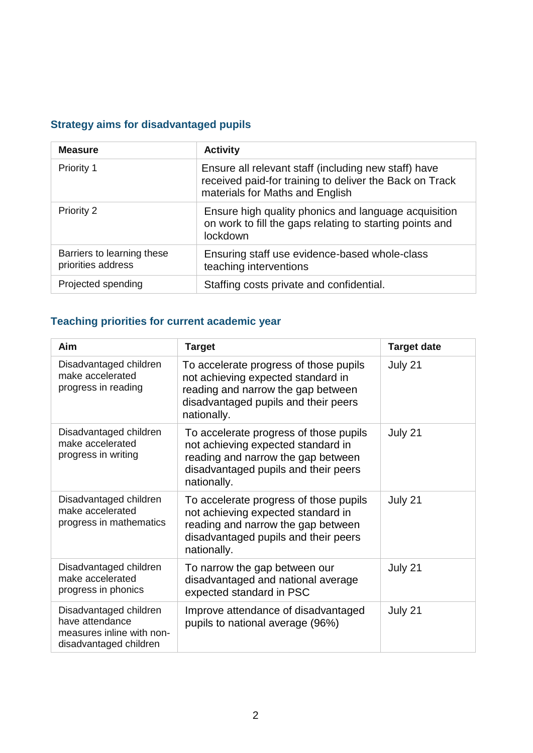## **Strategy aims for disadvantaged pupils**

| <b>Measure</b>                                   | <b>Activity</b>                                                                                                                                    |
|--------------------------------------------------|----------------------------------------------------------------------------------------------------------------------------------------------------|
| Priority 1                                       | Ensure all relevant staff (including new staff) have<br>received paid-for training to deliver the Back on Track<br>materials for Maths and English |
| Priority 2                                       | Ensure high quality phonics and language acquisition<br>on work to fill the gaps relating to starting points and<br>lockdown                       |
| Barriers to learning these<br>priorities address | Ensuring staff use evidence-based whole-class<br>teaching interventions                                                                            |
| Projected spending                               | Staffing costs private and confidential.                                                                                                           |

# **Teaching priorities for current academic year**

| Aim                                                                                              | <b>Target</b>                                                                                                                                                             | <b>Target date</b> |
|--------------------------------------------------------------------------------------------------|---------------------------------------------------------------------------------------------------------------------------------------------------------------------------|--------------------|
| Disadvantaged children<br>make accelerated<br>progress in reading                                | To accelerate progress of those pupils<br>not achieving expected standard in<br>reading and narrow the gap between<br>disadvantaged pupils and their peers<br>nationally. | July 21            |
| Disadvantaged children<br>make accelerated<br>progress in writing                                | To accelerate progress of those pupils<br>not achieving expected standard in<br>reading and narrow the gap between<br>disadvantaged pupils and their peers<br>nationally. | July 21            |
| Disadvantaged children<br>make accelerated<br>progress in mathematics                            | To accelerate progress of those pupils<br>not achieving expected standard in<br>reading and narrow the gap between<br>disadvantaged pupils and their peers<br>nationally. | July 21            |
| Disadvantaged children<br>make accelerated<br>progress in phonics                                | To narrow the gap between our<br>disadvantaged and national average<br>expected standard in PSC                                                                           | July 21            |
| Disadvantaged children<br>have attendance<br>measures inline with non-<br>disadvantaged children | Improve attendance of disadvantaged<br>pupils to national average (96%)                                                                                                   | July 21            |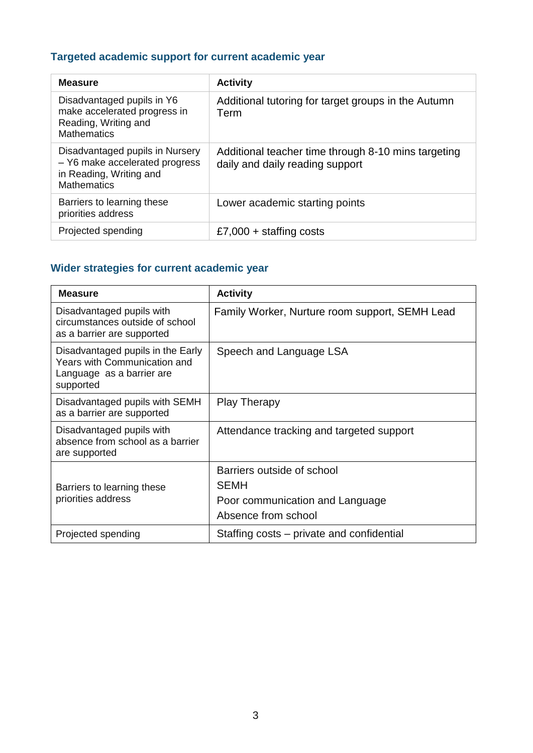# **Targeted academic support for current academic year**

| <b>Measure</b>                                                                                                     | <b>Activity</b>                                                                        |
|--------------------------------------------------------------------------------------------------------------------|----------------------------------------------------------------------------------------|
| Disadvantaged pupils in Y6<br>make accelerated progress in<br>Reading, Writing and<br><b>Mathematics</b>           | Additional tutoring for target groups in the Autumn<br>Term                            |
| Disadvantaged pupils in Nursery<br>- Y6 make accelerated progress<br>in Reading, Writing and<br><b>Mathematics</b> | Additional teacher time through 8-10 mins targeting<br>daily and daily reading support |
| Barriers to learning these<br>priorities address                                                                   | Lower academic starting points                                                         |
| Projected spending                                                                                                 | £7,000 + staffing costs                                                                |

### **Wider strategies for current academic year**

| <b>Measure</b>                                                                                              | <b>Activity</b>                                                                                     |
|-------------------------------------------------------------------------------------------------------------|-----------------------------------------------------------------------------------------------------|
| Disadvantaged pupils with<br>circumstances outside of school<br>as a barrier are supported                  | Family Worker, Nurture room support, SEMH Lead                                                      |
| Disadvantaged pupils in the Early<br>Years with Communication and<br>Language as a barrier are<br>supported | Speech and Language LSA                                                                             |
| Disadvantaged pupils with SEMH<br>as a barrier are supported                                                | <b>Play Therapy</b>                                                                                 |
| Disadvantaged pupils with<br>absence from school as a barrier<br>are supported                              | Attendance tracking and targeted support                                                            |
| Barriers to learning these<br>priorities address                                                            | Barriers outside of school<br><b>SEMH</b><br>Poor communication and Language<br>Absence from school |
| Projected spending                                                                                          | Staffing costs – private and confidential                                                           |